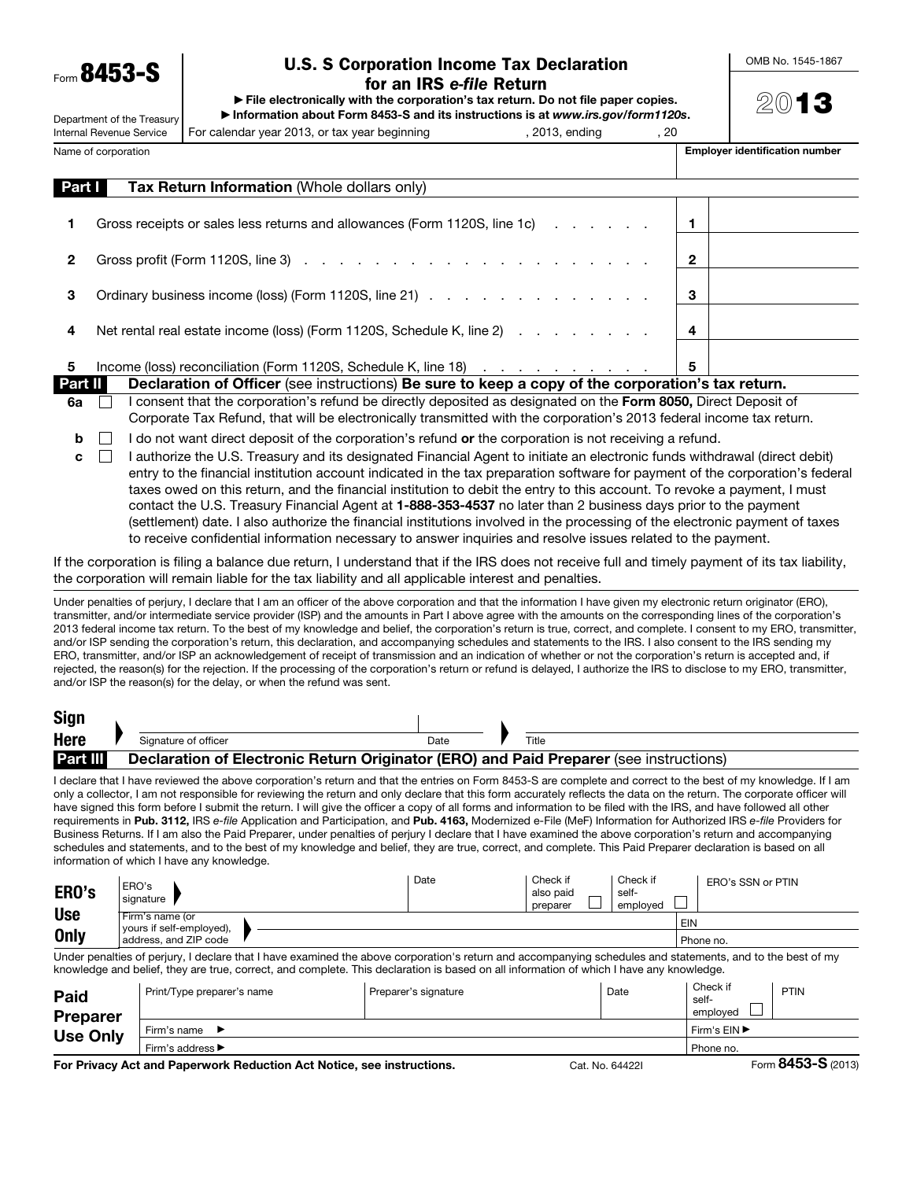Form 8453-S

Department of the Treasury

# U.S. S Corporation Income Tax Declaration for an IRS *e-file* Return

▶ File electronically with the corporation's tax return. Do not file paper copies.

▶ Information about Form 8453-S and its instructions is at *www.irs.gov/form1120s*. For calendar year 2013, or tax year beginning and pay and pay and pay and pay and pay and pay all pay and pay a

OMB No. 1545-1867

2013

Internal Revenue Service

 $\overline{\phantom{a}}$ 

| Name of corporation | Emplover identification number |
|---------------------|--------------------------------|
|---------------------|--------------------------------|

| Part I  | <b>Tax Return Information (Whole dollars only)</b>                                                                |   |  |
|---------|-------------------------------------------------------------------------------------------------------------------|---|--|
|         | Gross receipts or sales less returns and allowances (Form 1120S, line 1c)                                         |   |  |
|         |                                                                                                                   |   |  |
| 2       |                                                                                                                   | 2 |  |
| З       | Ordinary business income (loss) (Form 1120S, line 21)                                                             | 3 |  |
| 4       | Net rental real estate income (loss) (Form 1120S, Schedule K, line 2)                                             |   |  |
|         |                                                                                                                   |   |  |
| 5       | Income (loss) reconciliation (Form 1120S, Schedule K, line 18)                                                    | 5 |  |
| Part II | Declaration of Officer (see instructions) Be sure to keep a copy of the corporation's tax return.                 |   |  |
|         | I saccered that the component only informal harding attended and accompanion and the Four OOEO. Direct Democil of |   |  |

- 6a  $\Box$  I consent that the corporation's refund be directly deposited as designated on the Form 8050, Direct Deposit of Corporate Tax Refund, that will be electronically transmitted with the corporation's 2013 federal income tax return.
- $\mathbf{b}$  I do not want direct deposit of the corporation's refund or the corporation is not receiving a refund.
- $\mathbf{c}$  I authorize the U.S. Treasury and its designated Financial Agent to initiate an electronic funds withdrawal (direct debit) entry to the financial institution account indicated in the tax preparation software for payment of the corporation's federal taxes owed on this return, and the financial institution to debit the entry to this account. To revoke a payment, I must contact the U.S. Treasury Financial Agent at 1-888-353-4537 no later than 2 business days prior to the payment (settlement) date. I also authorize the financial institutions involved in the processing of the electronic payment of taxes to receive confidential information necessary to answer inquiries and resolve issues related to the payment.

If the corporation is filing a balance due return, I understand that if the IRS does not receive full and timely payment of its tax liability, the corporation will remain liable for the tax liability and all applicable interest and penalties.

Under penalties of perjury, I declare that I am an officer of the above corporation and that the information I have given my electronic return originator (ERO), transmitter, and/or intermediate service provider (ISP) and the amounts in Part I above agree with the amounts on the corresponding lines of the corporation's 2013 federal income tax return. To the best of my knowledge and belief, the corporation's return is true, correct, and complete. I consent to my ERO, transmitter, and/or ISP sending the corporation's return, this declaration, and accompanying schedules and statements to the IRS. I also consent to the IRS sending my ERO, transmitter, and/or ISP an acknowledgement of receipt of transmission and an indication of whether or not the corporation's return is accepted and, if rejected, the reason(s) for the rejection. If the processing of the corporation's return or refund is delayed, I authorize the IRS to disclose to my ERO, transmitter, and/or ISP the reason(s) for the delay, or when the refund was sent.

| <b>Sign</b>     |                                                                                        |      |       |
|-----------------|----------------------------------------------------------------------------------------|------|-------|
| <b>Here</b>     | Signature of officer                                                                   | Date | Title |
| <b>Part III</b> | Declaration of Electronic Return Originator (ERO) and Paid Preparer (see instructions) |      |       |

I declare that I have reviewed the above corporation's return and that the entries on Form 8453-S are complete and correct to the best of my knowledge. If I am only a collector, I am not responsible for reviewing the return and only declare that this form accurately reflects the data on the return. The corporate officer will have signed this form before I submit the return. I will give the officer a copy of all forms and information to be filed with the IRS, and have followed all other requirements in Pub. 3112, IRS *e-file* Application and Participation, and Pub. 4163, Modernized e-File (MeF) Information for Authorized IRS *e-file* Providers for Business Returns. If I am also the Paid Preparer, under penalties of perjury I declare that I have examined the above corporation's return and accompanying schedules and statements, and to the best of my knowledge and belief, they are true, correct, and complete. This Paid Preparer declaration is based on all information of which I have any knowledge.

| ERO's                                                                                                                                                                                                                                   | ERO's<br>signature                          | Date | Check if<br>also paid<br>preparer | Check if<br>self-<br>emploved | ERO's SSN or PTIN |  |
|-----------------------------------------------------------------------------------------------------------------------------------------------------------------------------------------------------------------------------------------|---------------------------------------------|------|-----------------------------------|-------------------------------|-------------------|--|
| <b>Use</b>                                                                                                                                                                                                                              | Firm's name (or<br>vours if self-employed), |      |                                   |                               | EIN               |  |
| <b>Only</b>                                                                                                                                                                                                                             | address, and ZIP code                       |      | Phone no.                         |                               |                   |  |
| The decomposition of a calling Theodore about home created a date of since a sample of sections and operations and as<br>the state of the company of the action of the state of the state of the company of the company of the state of |                                             |      |                                   |                               |                   |  |

Under penalties of perjury, I declare that I have examined the above corporation's return and accompanying schedules and statements, and to the best of my knowledge and belief, they are true, correct, and complete. This declaration is based on all information of which I have any knowledge.

| Paid<br><b>Preparer</b><br><b>Use Only</b> | Print/Type preparer's name                        | Preparer's signature | Date | Check if<br>self-<br>emploved | <b>PTIN</b>   |
|--------------------------------------------|---------------------------------------------------|----------------------|------|-------------------------------|---------------|
|                                            | Firm's name                                       |                      |      | Firm's EIN ▶                  |               |
|                                            | Firm's address $\blacktriangleright$<br>Phone no. |                      |      |                               |               |
|                                            |                                                   |                      |      |                               | $\sim$ $\sim$ |

For Privacy Act and Paperwork Reduction Act Notice, see instructions. Cat. No. 64422I Form 8453-S (2013)